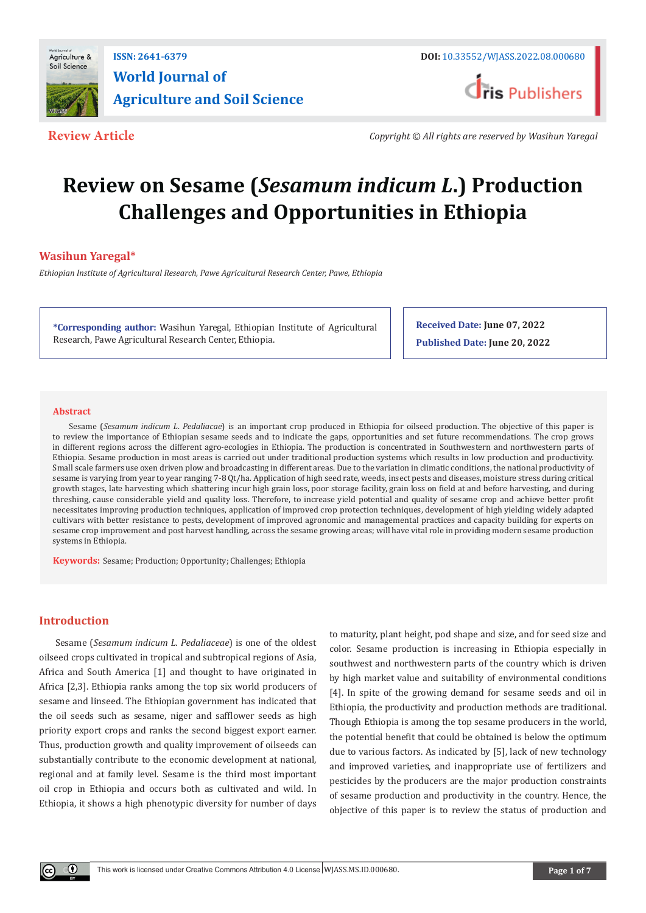

## **ISSN: 2641-6379 DOI:** [10.33552/WJASS.2022.08.000680](http://dx.doi.org/10.33552/WJASS.2022.08.000680) **World Journal of Agriculture and Soil Science**



**Review Article** *Copyright © All rights are reserved by Wasihun Yaregal*

# **Review on Sesame (***Sesamum indicum L***.) Production Challenges and Opportunities in Ethiopia**

### **Wasihun Yaregal\***

*Ethiopian Institute of Agricultural Research, Pawe Agricultural Research Center, Pawe, Ethiopia*

**\*Corresponding author:** Wasihun Yaregal, Ethiopian Institute of Agricultural Research, Pawe Agricultural Research Center, Ethiopia.

**Received Date: June 07, 2022 Published Date: June 20, 2022**

#### **Abstract**

Sesame (*Sesamum indicum L*. *Pedaliacae*) is an important crop produced in Ethiopia for oilseed production. The objective of this paper is to review the importance of Ethiopian sesame seeds and to indicate the gaps, opportunities and set future recommendations. The crop grows in different regions across the different agro-ecologies in Ethiopia. The production is concentrated in Southwestern and northwestern parts of Ethiopia. Sesame production in most areas is carried out under traditional production systems which results in low production and productivity. Small scale farmers use oxen driven plow and broadcasting in different areas. Due to the variation in climatic conditions, the national productivity of sesame is varying from year to year ranging 7-8 Qt/ha. Application of high seed rate, weeds, insect pests and diseases, moisture stress during critical growth stages, late harvesting which shattering incur high grain loss, poor storage facility, grain loss on field at and before harvesting, and during threshing, cause considerable yield and quality loss. Therefore, to increase yield potential and quality of sesame crop and achieve better profit necessitates improving production techniques, application of improved crop protection techniques, development of high yielding widely adapted cultivars with better resistance to pests, development of improved agronomic and managemental practices and capacity building for experts on sesame crop improvement and post harvest handling, across the sesame growing areas; will have vital role in providing modern sesame production systems in Ethiopia.

**Keywords:** Sesame; Production; Opportunity; Challenges; Ethiopia

#### **Introduction**

Sesame (*Sesamum indicum L. Pedaliaceae*) is one of the oldest oilseed crops cultivated in tropical and subtropical regions of Asia, Africa and South America [1] and thought to have originated in Africa [2,3]. Ethiopia ranks among the top six world producers of sesame and linseed. The Ethiopian government has indicated that the oil seeds such as sesame, niger and safflower seeds as high priority export crops and ranks the second biggest export earner. Thus, production growth and quality improvement of oilseeds can substantially contribute to the economic development at national, regional and at family level. Sesame is the third most important oil crop in Ethiopia and occurs both as cultivated and wild. In Ethiopia, it shows a high phenotypic diversity for number of days to maturity, plant height, pod shape and size, and for seed size and color. Sesame production is increasing in Ethiopia especially in southwest and northwestern parts of the country which is driven by high market value and suitability of environmental conditions [4]. In spite of the growing demand for sesame seeds and oil in Ethiopia, the productivity and production methods are traditional. Though Ethiopia is among the top sesame producers in the world, the potential benefit that could be obtained is below the optimum due to various factors. As indicated by [5], lack of new technology and improved varieties, and inappropriate use of fertilizers and pesticides by the producers are the major production constraints of sesame production and productivity in the country. Hence, the objective of this paper is to review the status of production and

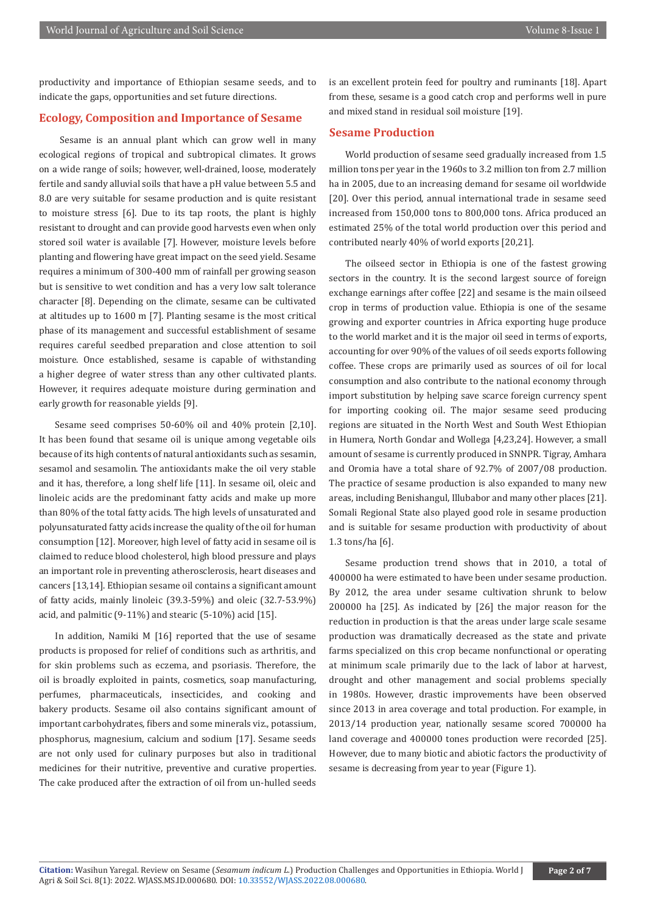productivity and importance of Ethiopian sesame seeds, and to indicate the gaps, opportunities and set future directions.

#### **Ecology, Composition and Importance of Sesame**

 Sesame is an annual plant which can grow well in many ecological regions of tropical and subtropical climates. It grows on a wide range of soils; however, well-drained, loose, moderately fertile and sandy alluvial soils that have a pH value between 5.5 and 8.0 are very suitable for sesame production and is quite resistant to moisture stress [6]. Due to its tap roots, the plant is highly resistant to drought and can provide good harvests even when only stored soil water is available [7]. However, moisture levels before planting and flowering have great impact on the seed yield. Sesame requires a minimum of 300-400 mm of rainfall per growing season but is sensitive to wet condition and has a very low salt tolerance character [8]. Depending on the climate, sesame can be cultivated at altitudes up to 1600 m [7]. Planting sesame is the most critical phase of its management and successful establishment of sesame requires careful seedbed preparation and close attention to soil moisture. Once established, sesame is capable of withstanding a higher degree of water stress than any other cultivated plants. However, it requires adequate moisture during germination and early growth for reasonable yields [9].

Sesame seed comprises 50-60% oil and 40% protein [2,10]. It has been found that sesame oil is unique among vegetable oils because of its high contents of natural antioxidants such as sesamin, sesamol and sesamolin. The antioxidants make the oil very stable and it has, therefore, a long shelf life [11]. In sesame oil, oleic and linoleic acids are the predominant fatty acids and make up more than 80% of the total fatty acids. The high levels of unsaturated and polyunsaturated fatty acids increase the quality of the oil for human consumption [12]. Moreover, high level of fatty acid in sesame oil is claimed to reduce blood cholesterol, high blood pressure and plays an important role in preventing atherosclerosis, heart diseases and cancers [13,14]. Ethiopian sesame oil contains a significant amount of fatty acids, mainly linoleic (39.3-59%) and oleic (32.7-53.9%) acid, and palmitic (9-11%) and stearic (5-10%) acid [15].

In addition, Namiki M [16] reported that the use of sesame products is proposed for relief of conditions such as arthritis, and for skin problems such as eczema, and psoriasis. Therefore, the oil is broadly exploited in paints, cosmetics, soap manufacturing, perfumes, pharmaceuticals, insecticides, and cooking and bakery products. Sesame oil also contains significant amount of important carbohydrates, fibers and some minerals viz., potassium, phosphorus, magnesium, calcium and sodium [17]. Sesame seeds are not only used for culinary purposes but also in traditional medicines for their nutritive, preventive and curative properties. The cake produced after the extraction of oil from un-hulled seeds

is an excellent protein feed for poultry and ruminants [18]. Apart from these, sesame is a good catch crop and performs well in pure and mixed stand in residual soil moisture [19].

#### **Sesame Production**

World production of sesame seed gradually increased from 1.5 million tons per year in the 1960s to 3.2 million ton from 2.7 million ha in 2005, due to an increasing demand for sesame oil worldwide [20]. Over this period, annual international trade in sesame seed increased from 150,000 tons to 800,000 tons. Africa produced an estimated 25% of the total world production over this period and contributed nearly 40% of world exports [20,21].

The oilseed sector in Ethiopia is one of the fastest growing sectors in the country. It is the second largest source of foreign exchange earnings after coffee [22] and sesame is the main oilseed crop in terms of production value. Ethiopia is one of the sesame growing and exporter countries in Africa exporting huge produce to the world market and it is the major oil seed in terms of exports, accounting for over 90% of the values of oil seeds exports following coffee. These crops are primarily used as sources of oil for local consumption and also contribute to the national economy through import substitution by helping save scarce foreign currency spent for importing cooking oil. The major sesame seed producing regions are situated in the North West and South West Ethiopian in Humera, North Gondar and Wollega [4,23,24]. However, a small amount of sesame is currently produced in SNNPR. Tigray, Amhara and Oromia have a total share of 92.7% of 2007/08 production. The practice of sesame production is also expanded to many new areas, including Benishangul, Illubabor and many other places [21]. Somali Regional State also played good role in sesame production and is suitable for sesame production with productivity of about 1.3 tons/ha [6].

Sesame production trend shows that in 2010, a total of 400000 ha were estimated to have been under sesame production. By 2012, the area under sesame cultivation shrunk to below 200000 ha [25]. As indicated by [26] the major reason for the reduction in production is that the areas under large scale sesame production was dramatically decreased as the state and private farms specialized on this crop became nonfunctional or operating at minimum scale primarily due to the lack of labor at harvest, drought and other management and social problems specially in 1980s. However, drastic improvements have been observed since 2013 in area coverage and total production. For example, in 2013/14 production year, nationally sesame scored 700000 ha land coverage and 400000 tones production were recorded [25]. However, due to many biotic and abiotic factors the productivity of sesame is decreasing from year to year (Figure 1).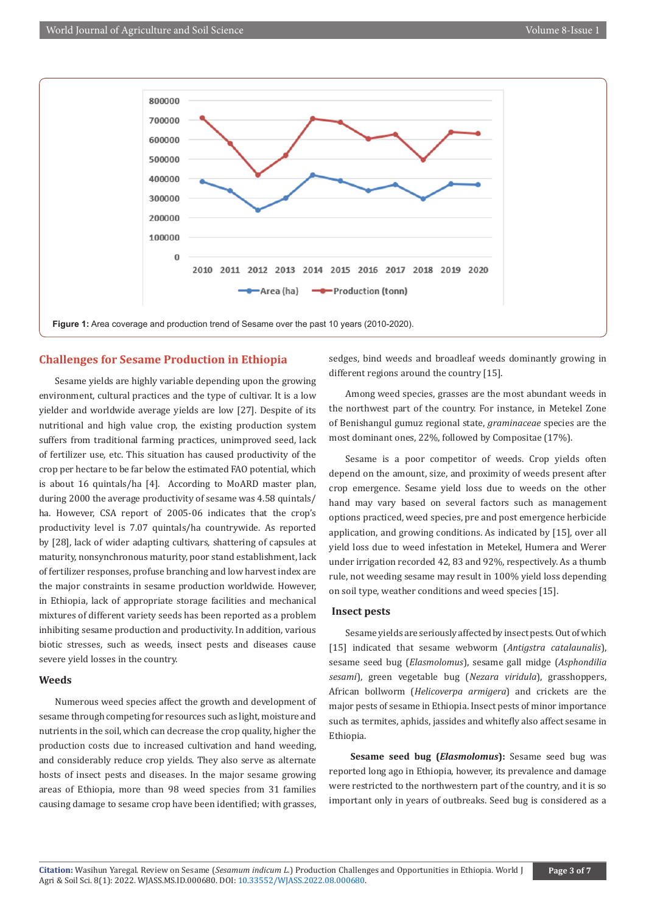

#### **Challenges for Sesame Production in Ethiopia**

Sesame yields are highly variable depending upon the growing environment, cultural practices and the type of cultivar. It is a low yielder and worldwide average yields are low [27]. Despite of its nutritional and high value crop, the existing production system suffers from traditional farming practices, unimproved seed, lack of fertilizer use, etc. This situation has caused productivity of the crop per hectare to be far below the estimated FAO potential, which is about 16 quintals/ha [4]. According to MoARD master plan, during 2000 the average productivity of sesame was 4.58 quintals/ ha. However, CSA report of 2005-06 indicates that the crop's productivity level is 7.07 quintals/ha countrywide. As reported by [28], lack of wider adapting cultivars, shattering of capsules at maturity, nonsynchronous maturity, poor stand establishment, lack of fertilizer responses, profuse branching and low harvest index are the major constraints in sesame production worldwide. However, in Ethiopia, lack of appropriate storage facilities and mechanical mixtures of different variety seeds has been reported as a problem inhibiting sesame production and productivity. In addition, various biotic stresses, such as weeds, insect pests and diseases cause severe yield losses in the country.

#### **Weeds**

Numerous weed species affect the growth and development of sesame through competing for resources such as light, moisture and nutrients in the soil, which can decrease the crop quality, higher the production costs due to increased cultivation and hand weeding, and considerably reduce crop yields. They also serve as alternate hosts of insect pests and diseases. In the major sesame growing areas of Ethiopia, more than 98 weed species from 31 families causing damage to sesame crop have been identified; with grasses,

sedges, bind weeds and broadleaf weeds dominantly growing in different regions around the country [15].

Among weed species, grasses are the most abundant weeds in the northwest part of the country. For instance, in Metekel Zone of Benishangul gumuz regional state, *graminaceae* species are the most dominant ones, 22%, followed by Compositae (17%).

Sesame is a poor competitor of weeds. Crop yields often depend on the amount, size, and proximity of weeds present after crop emergence. Sesame yield loss due to weeds on the other hand may vary based on several factors such as management options practiced, weed species, pre and post emergence herbicide application, and growing conditions. As indicated by [15], over all yield loss due to weed infestation in Metekel, Humera and Werer under irrigation recorded 42, 83 and 92%, respectively. As a thumb rule, not weeding sesame may result in 100% yield loss depending on soil type, weather conditions and weed species [15].

#### **Insect pests**

Sesame yields are seriously affected by insect pests. Out of which [15] indicated that sesame webworm (*Antigstra catalaunalis*), sesame seed bug (*Elasmolomus*), sesame gall midge (*Asphondilia sesami*), green vegetable bug (*Nezara viridula*), grasshoppers, African bollworm (*Helicoverpa armigera*) and crickets are the major pests of sesame in Ethiopia. Insect pests of minor importance such as termites, aphids, jassides and whitefly also affect sesame in Ethiopia.

 **Sesame seed bug (***Elasmolomus***):** Sesame seed bug was reported long ago in Ethiopia, however, its prevalence and damage were restricted to the northwestern part of the country, and it is so important only in years of outbreaks. Seed bug is considered as a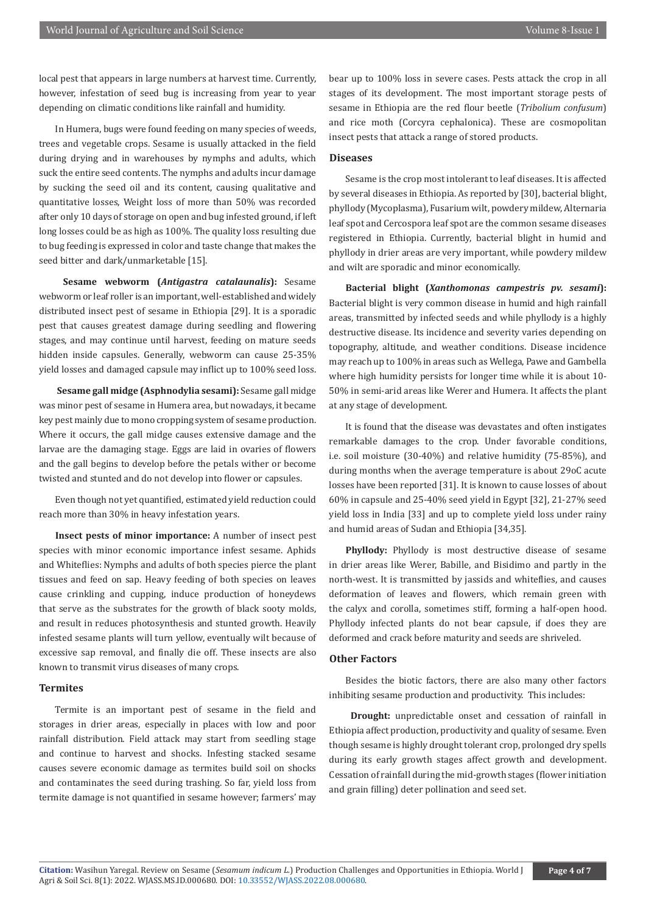local pest that appears in large numbers at harvest time. Currently, however, infestation of seed bug is increasing from year to year depending on climatic conditions like rainfall and humidity.

In Humera, bugs were found feeding on many species of weeds, trees and vegetable crops. Sesame is usually attacked in the field during drying and in warehouses by nymphs and adults, which suck the entire seed contents. The nymphs and adults incur damage by sucking the seed oil and its content, causing qualitative and quantitative losses, Weight loss of more than 50% was recorded after only 10 days of storage on open and bug infested ground, if left long losses could be as high as 100%. The quality loss resulting due to bug feeding is expressed in color and taste change that makes the seed bitter and dark/unmarketable [15].

**Sesame webworm (***Antigastra catalaunalis***):** Sesame webworm or leaf roller is an important, well-established and widely distributed insect pest of sesame in Ethiopia [29]. It is a sporadic pest that causes greatest damage during seedling and flowering stages, and may continue until harvest, feeding on mature seeds hidden inside capsules. Generally, webworm can cause 25-35% yield losses and damaged capsule may inflict up to 100% seed loss.

**Sesame gall midge (Asphnodylia sesami):** Sesame gall midge was minor pest of sesame in Humera area, but nowadays, it became key pest mainly due to mono cropping system of sesame production. Where it occurs, the gall midge causes extensive damage and the larvae are the damaging stage. Eggs are laid in ovaries of flowers and the gall begins to develop before the petals wither or become twisted and stunted and do not develop into flower or capsules.

Even though not yet quantified, estimated yield reduction could reach more than 30% in heavy infestation years.

**Insect pests of minor importance:** A number of insect pest species with minor economic importance infest sesame. Aphids and Whiteflies: Nymphs and adults of both species pierce the plant tissues and feed on sap. Heavy feeding of both species on leaves cause crinkling and cupping, induce production of honeydews that serve as the substrates for the growth of black sooty molds, and result in reduces photosynthesis and stunted growth. Heavily infested sesame plants will turn yellow, eventually wilt because of excessive sap removal, and finally die off. These insects are also known to transmit virus diseases of many crops.

#### **Termites**

Termite is an important pest of sesame in the field and storages in drier areas, especially in places with low and poor rainfall distribution. Field attack may start from seedling stage and continue to harvest and shocks. Infesting stacked sesame causes severe economic damage as termites build soil on shocks and contaminates the seed during trashing. So far, yield loss from termite damage is not quantified in sesame however; farmers' may

bear up to 100% loss in severe cases. Pests attack the crop in all stages of its development. The most important storage pests of sesame in Ethiopia are the red flour beetle (*Tribolium confusum*) and rice moth (Corcyra cephalonica). These are cosmopolitan insect pests that attack a range of stored products.

#### **Diseases**

Sesame is the crop most intolerant to leaf diseases. It is affected by several diseases in Ethiopia. As reported by [30], bacterial blight, phyllody (Mycoplasma), Fusarium wilt, powdery mildew, Alternaria leaf spot and Cercospora leaf spot are the common sesame diseases registered in Ethiopia. Currently, bacterial blight in humid and phyllody in drier areas are very important, while powdery mildew and wilt are sporadic and minor economically.

**Bacterial blight (***Xanthomonas campestris pv. sesami***):**  Bacterial blight is very common disease in humid and high rainfall areas, transmitted by infected seeds and while phyllody is a highly destructive disease. Its incidence and severity varies depending on topography, altitude, and weather conditions. Disease incidence may reach up to 100% in areas such as Wellega, Pawe and Gambella where high humidity persists for longer time while it is about 10- 50% in semi-arid areas like Werer and Humera. It affects the plant at any stage of development.

It is found that the disease was devastates and often instigates remarkable damages to the crop. Under favorable conditions, i.e. soil moisture (30-40%) and relative humidity (75-85%), and during months when the average temperature is about 29oC acute losses have been reported [31]. It is known to cause losses of about 60% in capsule and 25-40% seed yield in Egypt [32], 21-27% seed yield loss in India [33] and up to complete yield loss under rainy and humid areas of Sudan and Ethiopia [34,35].

**Phyllody:** Phyllody is most destructive disease of sesame in drier areas like Werer, Babille, and Bisidimo and partly in the north-west. It is transmitted by jassids and whiteflies, and causes deformation of leaves and flowers, which remain green with the calyx and corolla, sometimes stiff, forming a half-open hood. Phyllody infected plants do not bear capsule, if does they are deformed and crack before maturity and seeds are shriveled.

#### **Other Factors**

Besides the biotic factors, there are also many other factors inhibiting sesame production and productivity. This includes:

 **Drought:** unpredictable onset and cessation of rainfall in Ethiopia affect production, productivity and quality of sesame. Even though sesame is highly drought tolerant crop, prolonged dry spells during its early growth stages affect growth and development. Cessation of rainfall during the mid-growth stages (flower initiation and grain filling) deter pollination and seed set.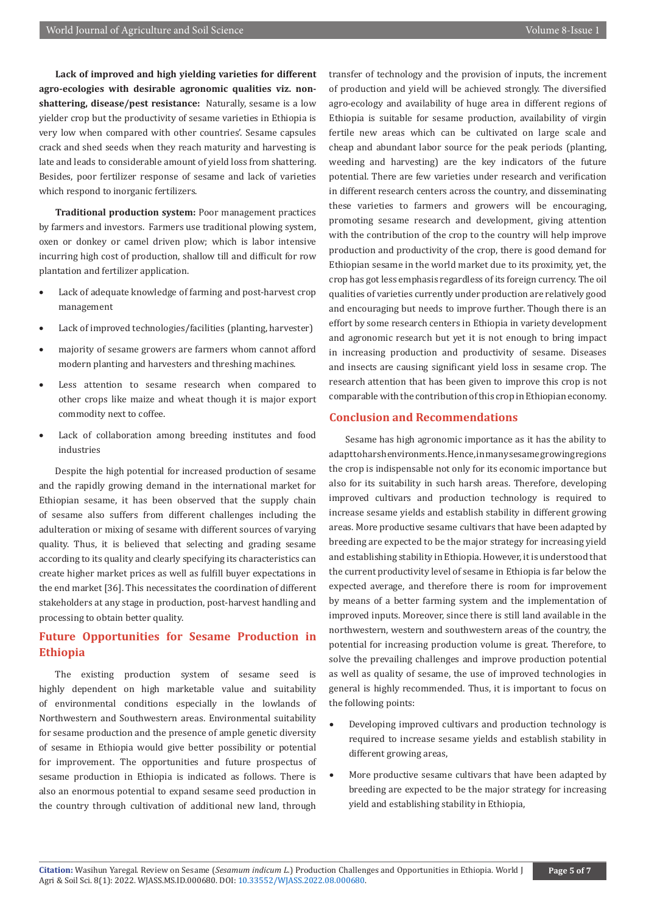**Lack of improved and high yielding varieties for different agro-ecologies with desirable agronomic qualities viz. nonshattering, disease/pest resistance:** Naturally, sesame is a low yielder crop but the productivity of sesame varieties in Ethiopia is very low when compared with other countries'. Sesame capsules crack and shed seeds when they reach maturity and harvesting is late and leads to considerable amount of yield loss from shattering. Besides, poor fertilizer response of sesame and lack of varieties which respond to inorganic fertilizers.

**Traditional production system:** Poor management practices by farmers and investors. Farmers use traditional plowing system, oxen or donkey or camel driven plow; which is labor intensive incurring high cost of production, shallow till and difficult for row plantation and fertilizer application.

- Lack of adequate knowledge of farming and post-harvest crop management
- Lack of improved technologies/facilities (planting, harvester)
- majority of sesame growers are farmers whom cannot afford modern planting and harvesters and threshing machines.
- Less attention to sesame research when compared to other crops like maize and wheat though it is major export commodity next to coffee.
- Lack of collaboration among breeding institutes and food industries

Despite the high potential for increased production of sesame and the rapidly growing demand in the international market for Ethiopian sesame, it has been observed that the supply chain of sesame also suffers from different challenges including the adulteration or mixing of sesame with different sources of varying quality. Thus, it is believed that selecting and grading sesame according to its quality and clearly specifying its characteristics can create higher market prices as well as fulfill buyer expectations in the end market [36]. This necessitates the coordination of different stakeholders at any stage in production, post-harvest handling and processing to obtain better quality.

### **Future Opportunities for Sesame Production in Ethiopia**

The existing production system of sesame seed is highly dependent on high marketable value and suitability of environmental conditions especially in the lowlands of Northwestern and Southwestern areas. Environmental suitability for sesame production and the presence of ample genetic diversity of sesame in Ethiopia would give better possibility or potential for improvement. The opportunities and future prospectus of sesame production in Ethiopia is indicated as follows. There is also an enormous potential to expand sesame seed production in the country through cultivation of additional new land, through

transfer of technology and the provision of inputs, the increment of production and yield will be achieved strongly. The diversified agro-ecology and availability of huge area in different regions of Ethiopia is suitable for sesame production, availability of virgin fertile new areas which can be cultivated on large scale and cheap and abundant labor source for the peak periods (planting, weeding and harvesting) are the key indicators of the future potential. There are few varieties under research and verification in different research centers across the country, and disseminating these varieties to farmers and growers will be encouraging, promoting sesame research and development, giving attention with the contribution of the crop to the country will help improve production and productivity of the crop, there is good demand for Ethiopian sesame in the world market due to its proximity, yet, the crop has got less emphasis regardless of its foreign currency. The oil qualities of varieties currently under production are relatively good and encouraging but needs to improve further. Though there is an effort by some research centers in Ethiopia in variety development and agronomic research but yet it is not enough to bring impact in increasing production and productivity of sesame. Diseases and insects are causing significant yield loss in sesame crop. The research attention that has been given to improve this crop is not comparable with the contribution of this crop in Ethiopian economy.

#### **Conclusion and Recommendations**

Sesame has high agronomic importance as it has the ability to adapt to harsh environments. Hence, in many sesame growing regions the crop is indispensable not only for its economic importance but also for its suitability in such harsh areas. Therefore, developing improved cultivars and production technology is required to increase sesame yields and establish stability in different growing areas. More productive sesame cultivars that have been adapted by breeding are expected to be the major strategy for increasing yield and establishing stability in Ethiopia. However, it is understood that the current productivity level of sesame in Ethiopia is far below the expected average, and therefore there is room for improvement by means of a better farming system and the implementation of improved inputs. Moreover, since there is still land available in the northwestern, western and southwestern areas of the country, the potential for increasing production volume is great. Therefore, to solve the prevailing challenges and improve production potential as well as quality of sesame, the use of improved technologies in general is highly recommended. Thus, it is important to focus on the following points:

- Developing improved cultivars and production technology is required to increase sesame yields and establish stability in different growing areas,
- More productive sesame cultivars that have been adapted by breeding are expected to be the major strategy for increasing yield and establishing stability in Ethiopia,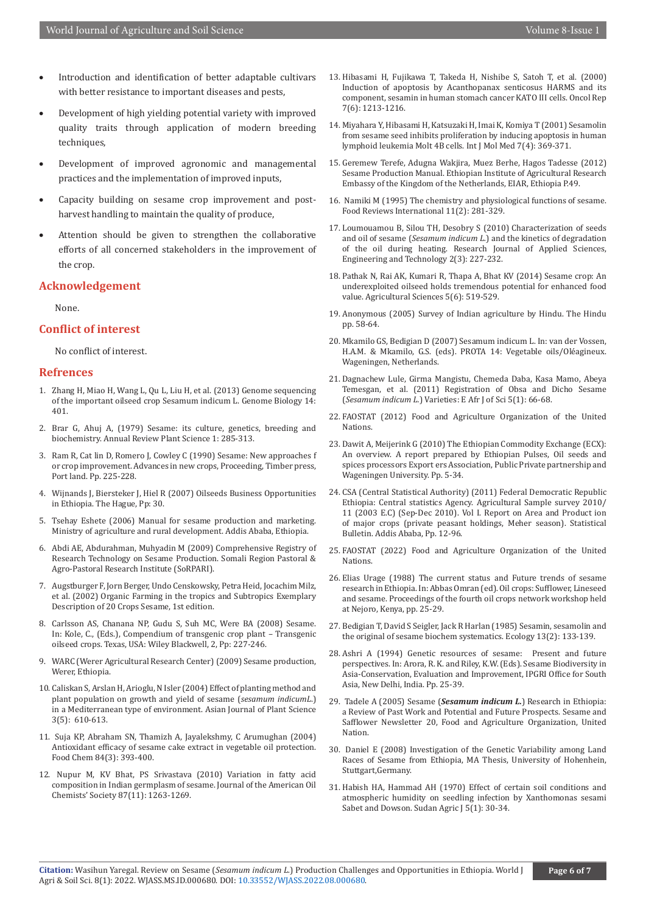- Introduction and identification of better adaptable cultivars with better resistance to important diseases and pests,
- Development of high yielding potential variety with improved quality traits through application of modern breeding techniques.
- Development of improved agronomic and managemental practices and the implementation of improved inputs,
- Capacity building on sesame crop improvement and postharvest handling to maintain the quality of produce,
- Attention should be given to strengthen the collaborative efforts of all concerned stakeholders in the improvement of the crop.

#### **Acknowledgement**

None.

#### **Conflict of interest**

No conflict of interest.

#### **Refrences**

- 1. [Zhang H, Miao H, Wang L, Qu L, Liu H, et al. \(2013\) Genome sequencing](https://www.semanticscholar.org/paper/Genome-sequencing-of-the-important-oilseed-crop-L-Zhang-Miao/9fe975282ab9a6db8d6a569271a7bc7de5b00cca)  [of the important oilseed crop Sesamum indicum L. Genome Biology 14:](https://www.semanticscholar.org/paper/Genome-sequencing-of-the-important-oilseed-crop-L-Zhang-Miao/9fe975282ab9a6db8d6a569271a7bc7de5b00cca)  [401.](https://www.semanticscholar.org/paper/Genome-sequencing-of-the-important-oilseed-crop-L-Zhang-Miao/9fe975282ab9a6db8d6a569271a7bc7de5b00cca)
- 2. Brar G, Ahuj A, (1979) Sesame: its culture, genetics, breeding and biochemistry. Annual Review Plant Science 1: 285-313.
- 3. Ram R, Cat lin D, Romero J, Cowley C (1990) Sesame: New approaches f or crop improvement. Advances in new crops, Proceeding, Timber press, Port land. Pp. 225-228.
- 4. Wijnands J, Biersteker J, Hiel R (2007) Oilseeds Business Opportunities in Ethiopia. The Hague, Pp: 30.
- 5. Tsehay Eshete (2006) Manual for sesame production and marketing. Ministry of agriculture and rural development. Addis Ababa, Ethiopia.
- 6. Abdi AE, Abdurahman, Muhyadin M (2009) Comprehensive Registry of Research Technology on Sesame Production. Somali Region Pastoral & Agro-Pastoral Research Institute (SoRPARI).
- 7. Augstburger F, Jorn Berger, Undo Censkowsky, Petra Heid, Jocachim Milz, et al. (2002) Organic Farming in the tropics and Subtropics Exemplary Description of 20 Crops Sesame, 1st edition.
- 8. Carlsson AS, Chanana NP, Gudu S, Suh MC, Were BA (2008) Sesame. In: Kole, C., (Eds.), Compendium of transgenic crop plant – Transgenic oilseed crops. Texas, USA: Wiley Blackwell, 2, Pp: 227-246.
- 9. WARC (Werer Agricultural Research Center) (2009) Sesame production, Werer, Ethiopia.
- 10. [Caliskan S, Arslan H, Arioglu, N Isler \(2004\) Effect of planting method and](https://scialert.net/abstract/?doi=ajps.2004.610.613)  [plant population on growth and yield of sesame \(](https://scialert.net/abstract/?doi=ajps.2004.610.613)*sesamum indicumL*.) [in a Mediterranean type of environment. Asian Journal of Plant Science](https://scialert.net/abstract/?doi=ajps.2004.610.613)  [3\(5\): 610-613.](https://scialert.net/abstract/?doi=ajps.2004.610.613)
- 11. [Suja KP, Abraham SN, Thamizh A, Jayalekshmy, C Arumughan \(2004\)](https://www.sciencedirect.com/science/article/abs/pii/S0308814603002486)  [Antioxidant efficacy of sesame cake extract in vegetable oil protection.](https://www.sciencedirect.com/science/article/abs/pii/S0308814603002486)  [Food Chem 84\(3\): 393-400.](https://www.sciencedirect.com/science/article/abs/pii/S0308814603002486)
- 12. [Nupur M, KV Bhat, PS Srivastava \(2010\) Variation in fatty acid](https://link.springer.com/article/10.1007/s11746-010-1615-9)  [composition in Indian germplasm of sesame. Journal of the American Oil](https://link.springer.com/article/10.1007/s11746-010-1615-9)  [Chemists' Society 87\(11\): 1263-1269.](https://link.springer.com/article/10.1007/s11746-010-1615-9)
- 13. [Hibasami H, Fujikawa T, Takeda H, Nishibe S, Satoh T, et al. \(2000\)](https://pubmed.ncbi.nlm.nih.gov/11032916/) [Induction of apoptosis by Acanthopanax senticosus HARMS and its](https://pubmed.ncbi.nlm.nih.gov/11032916/) [component, sesamin in human stomach cancer KATO III cells. Oncol Rep](https://pubmed.ncbi.nlm.nih.gov/11032916/) [7\(6\): 1213-1216.](https://pubmed.ncbi.nlm.nih.gov/11032916/)
- 14. [Miyahara Y, Hibasami H, Katsuzaki H, Imai K, Komiya T \(2001\) Sesamolin](https://pubmed.ncbi.nlm.nih.gov/11254875/) [from sesame seed inhibits proliferation by inducing apoptosis in human](https://pubmed.ncbi.nlm.nih.gov/11254875/) [lymphoid leukemia Molt 4B cells. Int J Mol Med 7\(4\): 369-371.](https://pubmed.ncbi.nlm.nih.gov/11254875/)
- 15. Geremew Terefe, Adugna Wakjira, Muez Berhe, Hagos Tadesse (2012) Sesame Production Manual. Ethiopian Institute of Agricultural Research Embassy of the Kingdom of the Netherlands, EIAR, Ethiopia P.49.
- 16. Namiki M (1995) The chemistry and physiological functions of sesame. Food Reviews International 11(2): 281-329.
- 17. Loumouamou B, Silou TH, Desobry S (2010) Characterization of seeds and oil of sesame (*Sesamum indicum L.*) and the kinetics of degradation of the oil during heating. Research Journal of Applied Sciences, Engineering and Technology 2(3): 227-232.
- 18. [Pathak N, Rai AK, Kumari R, Thapa A, Bhat KV \(2014\) Sesame crop: An](https://www.scirp.org/journal/paperinformation.aspx?paperid=46023) [underexploited oilseed holds tremendous potential for enhanced food](https://www.scirp.org/journal/paperinformation.aspx?paperid=46023) [value. Agricultural Sciences 5\(6\): 519-529.](https://www.scirp.org/journal/paperinformation.aspx?paperid=46023)
- 19. Anonymous (2005) Survey of Indian agriculture by Hindu. The Hindu pp. 58-64.
- 20. Mkamilo GS, Bedigian D (2007) Sesamum indicum L. In: van der Vossen, H.A.M. & Mkamilo, G.S. (eds). PROTA 14: Vegetable oils/Oléagineux. Wageningen, Netherlands.
- 21. [Dagnachew Lule, Girma Mangistu, Chemeda Daba, Kasa Mamo, Abeya](https://www.ajol.info/index.php/eajsci/article/view/101843) [Temesgan, et al. \(2011\) Registration of Obsa and Dicho Sesame](https://www.ajol.info/index.php/eajsci/article/view/101843) (*Sesamum indicum L.*[\) Varieties: E Afr J of Sci 5\(1\): 66-68.](https://www.ajol.info/index.php/eajsci/article/view/101843)
- 22. FAOSTAT (2012) Food and Agriculture Organization of the United Nations.
- 23. Dawit A, Meijerink G (2010) The Ethiopian Commodity Exchange (ECX): An overview. A report prepared by Ethiopian Pulses, Oil seeds and spices processors Export ers Association, Public Private partnership and Wageningen University. Pp. 5-34.
- 24. CSA (Central Statistical Authority) (2011) Federal Democratic Republic Ethiopia: Central statistics Agency. Agricultural Sample survey 2010/ 11 (2003 E.C) (Sep-Dec 2010). Vol I. Report on Area and Product ion of major crops (private peasant holdings, Meher season). Statistical Bulletin. Addis Ababa, Pp. 12-96.
- 25. FAOSTAT (2022) Food and Agriculture Organization of the United Nations.
- 26. Elias Urage (1988) The current status and Future trends of sesame research in Ethiopia. In: Abbas Omran (ed). Oil crops: Sufflower, Lineseed and sesame. Proceedings of the fourth oil crops network workshop held at Nejoro, Kenya, pp. 25-29.
- 27. [Bedigian T, David S Seigler, Jack R Harlan \(1985\) Sesamin, sesamolin and](https://www.sciencedirect.com/science/article/pii/0305197885900717) [the original of sesame biochem systematics. Ecology 13\(2\): 133-139.](https://www.sciencedirect.com/science/article/pii/0305197885900717)
- 28. Ashri A (1994) Genetic resources of sesame: Present and future perspectives. In: Arora, R. K. and Riley, K.W. (Eds). Sesame Biodiversity in Asia-Conservation, Evaluation and Improvement, IPGRI Office for South Asia, New Delhi, India. Pp. 25-39.
- 29. Tadele A (2005) Sesame (*Sesamum indicum L.*) Research in Ethiopia: a Review of Past Work and Potential and Future Prospects. Sesame and Safflower Newsletter 20, Food and Agriculture Organization, United Nation.
- 30. Daniel E (2008) Investigation of the Genetic Variability among Land Races of Sesame from Ethiopia, MA Thesis, University of Hohenhein, Stuttgart,Germany.
- 31. [Habish HA, Hammad AH \(1970\) Effect of certain soil conditions and](https://agris.fao.org/agris-search/search.do?recordID=US201301173598) [atmospheric humidity on seedling infection by Xanthomonas sesami](https://agris.fao.org/agris-search/search.do?recordID=US201301173598) [Sabet and Dowson. Sudan Agric J 5\(1\): 30-34.](https://agris.fao.org/agris-search/search.do?recordID=US201301173598)